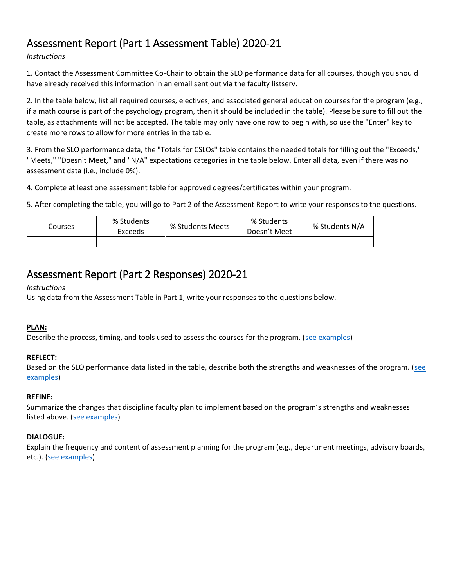# Assessment Report (Part 1 Assessment Table) 2020-21

## *Instructions*

1. Contact the Assessment Committee Co-Chair to obtain the SLO performance data for all courses, though you should have already received this information in an email sent out via the faculty listserv.

2. In the table below, list all required courses, electives, and associated general education courses for the program (e.g., if a math course is part of the psychology program, then it should be included in the table). Please be sure to fill out the table, as attachments will not be accepted. The table may only have one row to begin with, so use the "Enter" key to create more rows to allow for more entries in the table.

3. From the SLO performance data, the "Totals for CSLOs" table contains the needed totals for filling out the "Exceeds," "Meets," "Doesn't Meet," and "N/A" expectations categories in the table below. Enter all data, even if there was no assessment data (i.e., include 0%).

4. Complete at least one assessment table for approved degrees/certificates within your program.

5. After completing the table, you will go to Part 2 of the Assessment Report to write your responses to the questions.

| Courses | % Students<br>Exceeds | % Students Meets | % Students<br>Doesn't Meet | % Students N/A |
|---------|-----------------------|------------------|----------------------------|----------------|
|         |                       |                  |                            |                |

## Assessment Report (Part 2 Responses) 2020-21

#### *Instructions*

Using data from the Assessment Table in Part 1, write your responses to the questions below.

## **PLAN:**

Describe the process, timing, and tools used to assess the courses for the program. [\(see examples\)](https://committees.kccd.edu/sites/committees.kccd.edu/files/AssessmentReport-Plan.pdf)

## **REFLECT:**

Based on the SLO performance data listed in the table, describe both the strengths and weaknesses of the program. [\(see](https://committees.kccd.edu/sites/committees.kccd.edu/files/AssessmentReport-Reflect.pdf)  [examples\)](https://committees.kccd.edu/sites/committees.kccd.edu/files/AssessmentReport-Reflect.pdf)

## **REFINE:**

Summarize the changes that discipline faculty plan to implement based on the program's strengths and weaknesses listed above. [\(see examples\)](https://committees.kccd.edu/sites/committees.kccd.edu/files/AssessmentReport-Refine_0.pdf)

## **DIALOGUE:**

Explain the frequency and content of assessment planning for the program (e.g., department meetings, advisory boards, etc.). [\(see examples\)](https://committees.kccd.edu/sites/committees.kccd.edu/files/AssessmentReport-Dialogue.pdf)